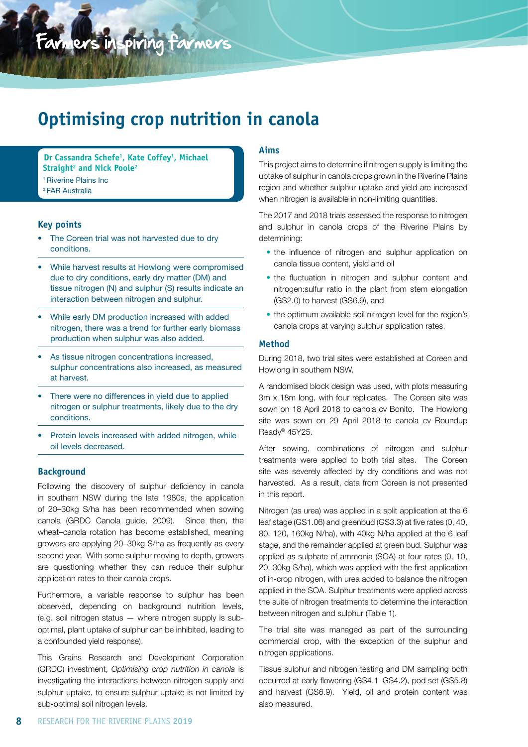# Farmers inspiring farmers

## **Optimising crop nutrition in canola**

**Dr Cassandra Schefe1 , Kate Coffey1 , Michael Straight2 and Nick Poole2** 1 Riverine Plains Inc 2 FAR Australia

#### **Key points**

- The Coreen trial was not harvested due to dry conditions.
- While harvest results at Howlong were compromised due to dry conditions, early dry matter (DM) and tissue nitrogen (N) and sulphur (S) results indicate an interaction between nitrogen and sulphur.
- While early DM production increased with added nitrogen, there was a trend for further early biomass production when sulphur was also added.
- As tissue nitrogen concentrations increased, sulphur concentrations also increased, as measured at harvest.
- There were no differences in yield due to applied nitrogen or sulphur treatments, likely due to the dry conditions.
- Protein levels increased with added nitrogen, while oil levels decreased.

#### **Background**

Following the discovery of sulphur deficiency in canola in southern NSW during the late 1980s, the application of 20–30kg S/ha has been recommended when sowing canola (GRDC Canola guide, 2009). Since then, the wheat–canola rotation has become established, meaning growers are applying 20–30kg S/ha as frequently as every second year. With some sulphur moving to depth, growers are questioning whether they can reduce their sulphur application rates to their canola crops.

Furthermore, a variable response to sulphur has been observed, depending on background nutrition levels, (e.g. soil nitrogen status — where nitrogen supply is suboptimal, plant uptake of sulphur can be inhibited, leading to a confounded yield response).

This Grains Research and Development Corporation (GRDC) investment, *Optimising crop nutrition in canola* is investigating the interactions between nitrogen supply and sulphur uptake, to ensure sulphur uptake is not limited by sub-optimal soil nitrogen levels.

#### **Aims**

This project aims to determine if nitrogen supply is limiting the uptake of sulphur in canola crops grown in the Riverine Plains region and whether sulphur uptake and yield are increased when nitrogen is available in non-limiting quantities.

The 2017 and 2018 trials assessed the response to nitrogen and sulphur in canola crops of the Riverine Plains by determining:

- **•** the influence of nitrogen and sulphur application on canola tissue content, yield and oil
- **•** the fluctuation in nitrogen and sulphur content and nitrogen:sulfur ratio in the plant from stem elongation (GS2.0) to harvest (GS6.9), and
- **•** the optimum available soil nitrogen level for the region's canola crops at varying sulphur application rates.

#### **Method**

During 2018, two trial sites were established at Coreen and Howlong in southern NSW.

A randomised block design was used, with plots measuring 3m x 18m long, with four replicates. The Coreen site was sown on 18 April 2018 to canola cv Bonito. The Howlong site was sown on 29 April 2018 to canola cv Roundup Ready® 45Y25.

After sowing, combinations of nitrogen and sulphur treatments were applied to both trial sites. The Coreen site was severely affected by dry conditions and was not harvested. As a result, data from Coreen is not presented in this report.

Nitrogen (as urea) was applied in a split application at the 6 leaf stage (GS1.06) and greenbud (GS3.3) at five rates (0, 40, 80, 120, 160kg N/ha), with 40kg N/ha applied at the 6 leaf stage, and the remainder applied at green bud. Sulphur was applied as sulphate of ammonia (SOA) at four rates (0, 10, 20, 30kg S/ha), which was applied with the first application of in-crop nitrogen, with urea added to balance the nitrogen applied in the SOA. Sulphur treatments were applied across the suite of nitrogen treatments to determine the interaction between nitrogen and sulphur (Table 1).

The trial site was managed as part of the surrounding commercial crop, with the exception of the sulphur and nitrogen applications.

Tissue sulphur and nitrogen testing and DM sampling both occurred at early flowering (GS4.1–GS4.2), pod set (GS5.8) and harvest (GS6.9). Yield, oil and protein content was also measured.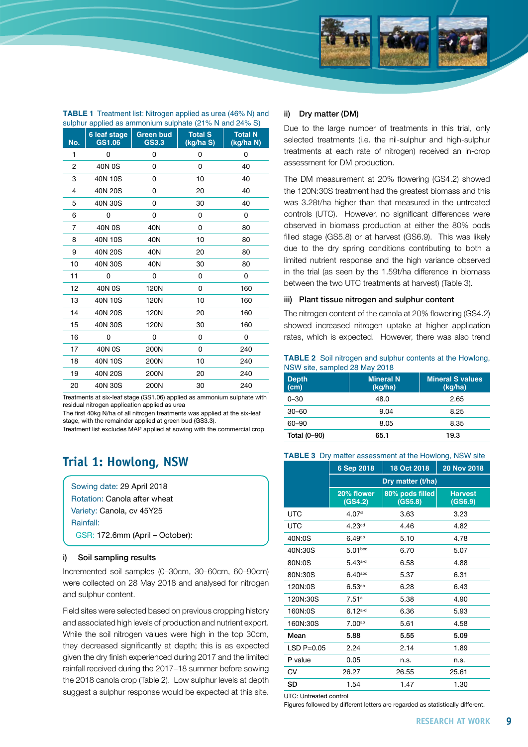

| No. | 6 leaf stage<br>GS1.06 | <b>Green bud</b><br>GS3.3 | <b>Total S</b><br>(kg/ha S) | <b>Total N</b><br>(kg/ha N) |
|-----|------------------------|---------------------------|-----------------------------|-----------------------------|
| 1   | 0                      | 0                         | 0                           | 0                           |
| 2   | 40N 0S                 | 0                         | 0                           | 40                          |
| 3   | 40N 10S                | 0                         | 10                          | 40                          |
| 4   | 40N 20S                | 0                         | 20                          | 40                          |
| 5   | 40N 30S                | 0                         | 30                          | 40                          |
| 6   | 0                      | 0                         | 0                           | 0                           |
| 7   | 40N 0S                 | 40N                       | 0                           | 80                          |
| 8   | 40N 10S                | 40N                       | 10                          | 80                          |
| 9   | 40N 20S                | 40N                       | 20                          | 80                          |
| 10  | 40N 30S                | 40N                       | 30                          | 80                          |
| 11  | 0                      | 0                         | 0                           | 0                           |
| 12  | 40N 0S                 | 120N                      | 0                           | 160                         |
| 13  | 40N 10S                | 120N                      | 10                          | 160                         |
| 14  | 40N 20S                | 120N                      | 20                          | 160                         |
| 15  | 40N 30S                | 120N                      | 30                          | 160                         |
| 16  | 0                      | 0                         | 0                           | 0                           |
| 17  | 40N 0S                 | 200N                      | 0                           | 240                         |
| 18  | 40N 10S                | 200N                      | 10                          | 240                         |
| 19  | 40N 20S                | 200N                      | 20                          | 240                         |
| 20  | 40N 30S                | 200N                      | 30                          | 240                         |

**TABLE 1** Treatment list: Nitrogen applied as urea (46% N) and

Treatments at six-leaf stage (GS1.06) applied as ammonium sulphate with residual nitrogen application applied as urea

The first 40kg N/ha of all nitrogen treatments was applied at the six-leaf stage, with the remainder applied at green bud (GS3.3).

Treatment list excludes MAP applied at sowing with the commercial crop

## **Trial 1: Howlong, NSW**

Sowing date: 29 April 2018 Rotation: Canola after wheat Variety: Canola, cv 45Y25 Rainfall: GSR: 172.6mm (April – October):

#### i) Soil sampling results

Incremented soil samples (0–30cm, 30–60cm, 60–90cm) were collected on 28 May 2018 and analysed for nitrogen and sulphur content.

Field sites were selected based on previous cropping history and associated high levels of production and nutrient export. While the soil nitrogen values were high in the top 30cm, they decreased significantly at depth; this is as expected given the dry finish experienced during 2017 and the limited rainfall received during the 2017–18 summer before sowing the 2018 canola crop (Table 2). Low sulphur levels at depth suggest a sulphur response would be expected at this site.

#### ii) Dry matter (DM)

Due to the large number of treatments in this trial, only selected treatments (i.e. the nil-sulphur and high-sulphur treatments at each rate of nitrogen) received an in-crop assessment for DM production.

The DM measurement at 20% flowering (GS4.2) showed the 120N:30S treatment had the greatest biomass and this was 3.28t/ha higher than that measured in the untreated controls (UTC). However, no significant differences were observed in biomass production at either the 80% pods filled stage (GS5.8) or at harvest (GS6.9). This was likely due to the dry spring conditions contributing to both a limited nutrient response and the high variance observed in the trial (as seen by the 1.59t/ha difference in biomass between the two UTC treatments at harvest) (Table 3).

#### iii) Plant tissue nitrogen and sulphur content

The nitrogen content of the canola at 20% flowering (GS4.2) showed increased nitrogen uptake at higher application rates, which is expected. However, there was also trend

**TABLE 2** Soil nitrogen and sulphur contents at the Howlong, NSW site, sampled 28 May 2018

| <b>Depth</b><br>(cm) | <b>Mineral N</b><br>(kg/ha) | <b>Mineral S values</b><br>(kg/ha) |
|----------------------|-----------------------------|------------------------------------|
| $0 - 30$             | 48.0                        | 2.65                               |
| $30 - 60$            | 9.04                        | 8.25                               |
| 60-90                | 8.05                        | 8.35                               |
| Total (0-90)         | 65.1                        | 19.3                               |

#### **TABLE 3** Dry matter assessment at the Howlong, NSW site

|             | 6 Sep 2018            | 18 Oct 2018                | <b>20 Nov 2018</b>        |
|-------------|-----------------------|----------------------------|---------------------------|
|             | Dry matter (t/ha)     |                            |                           |
|             | 20% flower<br>(GS4.2) | 80% pods filled<br>(GS5.8) | <b>Harvest</b><br>(GS6.9) |
| <b>UTC</b>  | 4.07 <sup>d</sup>     | 3.63                       | 3.23                      |
| UTC         | 4.23 <sup>cd</sup>    | 4.46                       | 4.82                      |
| 40N:0S      | 6.49 <sup>ab</sup>    | 5.10                       | 4.78                      |
| 40N:30S     | 5.01 <sub>bcd</sub>   | 6.70                       | 5.07                      |
| 80N:0S      | $5.43a-d$             | 6.58                       | 4.88                      |
| 80N:30S     | $6.40$ abc            | 5.37                       | 6.31                      |
| 120N:0S     | 6.53 <sup>ab</sup>    | 6.28                       | 6.43                      |
| 120N:30S    | 7.51a                 | 5.38                       | 4.90                      |
| 160N:0S     | $6.12a-d$             | 6.36                       | 5.93                      |
| 160N:30S    | 7.00 <sup>ab</sup>    | 5.61                       | 4.58                      |
| Mean        | 5.88                  | 5.55                       | 5.09                      |
| $LSDP=0.05$ | 2.24                  | 2.14                       | 1.89                      |
| P value     | 0.05                  | n.s.                       | n.s.                      |
| CV          | 26.27                 | 26.55                      | 25.61                     |
| SD          | 1.54                  | 1.47                       | 1.30                      |

UTC: Untreated control

Figures followed by different letters are regarded as statistically different.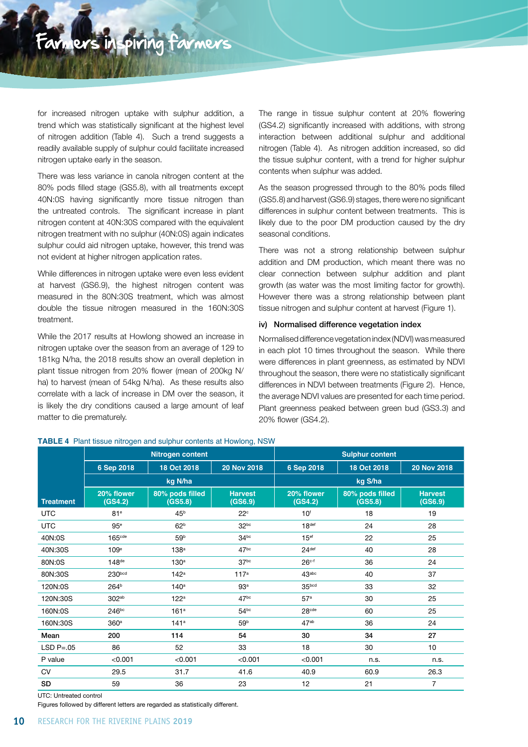for increased nitrogen uptake with sulphur addition, a trend which was statistically significant at the highest level of nitrogen addition (Table 4). Such a trend suggests a readily available supply of sulphur could facilitate increased nitrogen uptake early in the season.

There was less variance in canola nitrogen content at the 80% pods filled stage (GS5.8), with all treatments except 40N:0S having significantly more tissue nitrogen than the untreated controls. The significant increase in plant nitrogen content at 40N:30S compared with the equivalent nitrogen treatment with no sulphur (40N:0S) again indicates sulphur could aid nitrogen uptake, however, this trend was not evident at higher nitrogen application rates.

While differences in nitrogen uptake were even less evident at harvest (GS6.9), the highest nitrogen content was measured in the 80N:30S treatment, which was almost double the tissue nitrogen measured in the 160N:30S treatment.

While the 2017 results at Howlong showed an increase in nitrogen uptake over the season from an average of 129 to 181kg N/ha, the 2018 results show an overall depletion in plant tissue nitrogen from 20% flower (mean of 200kg N/ ha) to harvest (mean of 54kg N/ha). As these results also correlate with a lack of increase in DM over the season, it is likely the dry conditions caused a large amount of leaf matter to die prematurely.

The range in tissue sulphur content at 20% flowering (GS4.2) significantly increased with additions, with strong interaction between additional sulphur and additional nitrogen (Table 4). As nitrogen addition increased, so did the tissue sulphur content, with a trend for higher sulphur contents when sulphur was added.

As the season progressed through to the 80% pods filled (GS5.8) and harvest (GS6.9) stages, there were no significant differences in sulphur content between treatments. This is likely due to the poor DM production caused by the dry seasonal conditions.

There was not a strong relationship between sulphur addition and DM production, which meant there was no clear connection between sulphur addition and plant growth (as water was the most limiting factor for growth). However there was a strong relationship between plant tissue nitrogen and sulphur content at harvest (Figure 1).

#### iv) Normalised difference vegetation index

Normalised difference vegetation index (NDVI) was measured in each plot 10 times throughout the season. While there were differences in plant greenness, as estimated by NDVI throughout the season, there were no statistically significant differences in NDVI between treatments (Figure 2). Hence, the average NDVI values are presented for each time period. Plant greenness peaked between green bud (GS3.3) and 20% flower (GS4.2).

|                  |                       |                            | .                         |                       |                            |                           |
|------------------|-----------------------|----------------------------|---------------------------|-----------------------|----------------------------|---------------------------|
|                  |                       | Nitrogen content           |                           |                       | <b>Sulphur content</b>     |                           |
|                  | 6 Sep 2018            | 18 Oct 2018                | 20 Nov 2018               | 6 Sep 2018            | 18 Oct 2018                | 20 Nov 2018               |
|                  | kg N/ha               |                            |                           |                       |                            |                           |
| <b>Treatment</b> | 20% flower<br>(GS4.2) | 80% pods filled<br>(GS5.8) | <b>Harvest</b><br>(GS6.9) | 20% flower<br>(GS4.2) | 80% pods filled<br>(GS5.8) | <b>Harvest</b><br>(GS6.9) |
| <b>UTC</b>       | 81 <sup>e</sup>       | 45 <sup>b</sup>            | $22^{\circ}$              | 10 <sup>f</sup>       | 18                         | 19                        |
| <b>UTC</b>       | 95 <sup>e</sup>       | 62 <sup>b</sup>            | 32 <sub>pc</sub>          | 18 <sup>def</sup>     | 24                         | 28                        |
| 40N:0S           | 165 <sub>cde</sub>    | 59 <sup>b</sup>            | 34 <sup>bc</sup>          | 15 <sup>ef</sup>      | 22                         | 25                        |
| 40N:30S          | 109 <sup>e</sup>      | 138 <sup>a</sup>           | 47 <sup>bc</sup>          | 24 <sup>def</sup>     | 40                         | 28                        |
| 80N:0S           | $148$ <sub>de</sub>   | 130 <sup>a</sup>           | 37 <sup>bc</sup>          | $26c-f$               | 36                         | 24                        |
| 80N:30S          | 230bcd                | 142 <sup>a</sup>           | 117 <sup>a</sup>          | 43 <sub>abc</sub>     | 40                         | 37                        |
| 120N:0S          | 264 <sup>b</sup>      | 140 <sup>a</sup>           | 93 <sup>a</sup>           | 35 <sub>bcd</sub>     | 33                         | 32                        |
| 120N:30S         | 302ab                 | 122 <sup>a</sup>           | 47 <sup>bc</sup>          | 57 <sup>a</sup>       | 30                         | 25                        |
| 160N:0S          | 246 <sup>bc</sup>     | 161 <sup>a</sup>           | 54 <sup>bc</sup>          | 28 <sub>cde</sub>     | 60                         | 25                        |
| 160N:30S         | 360 <sup>a</sup>      | 141 <sup>a</sup>           | 59 <sup>b</sup>           | 47 <sup>ab</sup>      | 36                         | 24                        |
| Mean             | 200                   | 114                        | 54                        | 30                    | 34                         | 27                        |
| $LSDP=.05$       | 86                    | 52                         | 33                        | 18                    | 30                         | 10                        |
| P value          | < 0.001               | < 0.001                    | < 0.001                   | < 0.001               | n.s.                       | n.s.                      |
| <b>CV</b>        | 29.5                  | 31.7                       | 41.6                      | 40.9                  | 60.9                       | 26.3                      |
| SD               | 59                    | 36                         | 23                        | 12                    | 21                         | 7                         |

**TABLE 4** Plant tissue nitrogen and sulphur contents at Howlong, NSW

UTC: Untreated control

Figures followed by different letters are regarded as statistically different.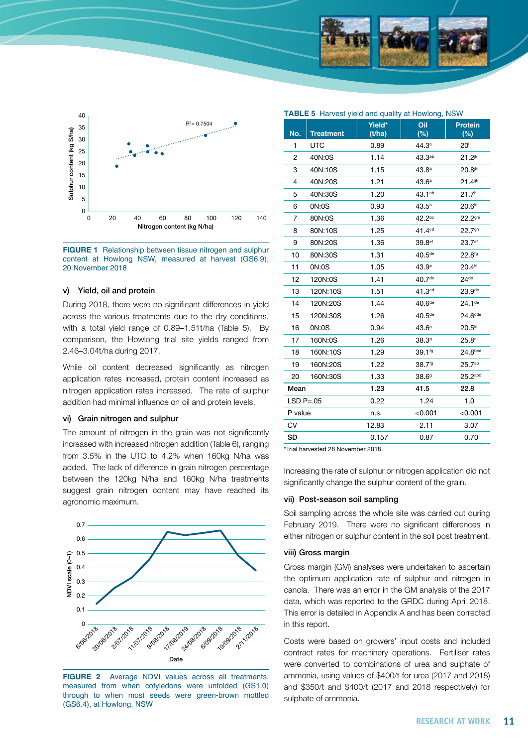



**FIGURE 1** Relationship between tissue nitrogen and sulphur content at Howlong NSW, measured at harvest (GS6.9), 20 November 2018

#### v) Yield, oil and protein

During 2018, there were no significant differences in yield across the various treatments due to the dry conditions, with a total yield range of 0.89–1.51t/ha (Table 5). By comparison, the Howlong trial site yields ranged from 2.46–3.04t/ha during 2017.

While oil content decreased significantly as nitrogen application rates increased, protein content increased as nitrogen application rates increased. The rate of sulphur addition had minimal influence on oil and protein levels.

#### vi) Grain nitrogen and sulphur

The amount of nitrogen in the grain was not significantly increased with increased nitrogen addition (Table 6), ranging from 3.5% in the UTC to 4.2% when 160kg N/ha was added. The lack of difference in grain nitrogen percentage between the 120kg N/ha and 160kg N/ha treatments suggest grain nitrogen content may have reached its agronomic maximum.



**FIGURE 2** Average NDVI values across all treatments, measured from when cotyledons were unfolded (GS1.0) through to when most seeds were green-brown mottled (GS6.4), at Howlong, NSW

|                | TABLE 5 Harvest yield and quality at Howlong, NSW |                  |                    |                          |  |  |
|----------------|---------------------------------------------------|------------------|--------------------|--------------------------|--|--|
| No.            | <b>Treatment</b>                                  | Yield*<br>(t/ha) | Oil<br>(%)         | <b>Protein</b><br>$(\%)$ |  |  |
| 1              | <b>UTC</b>                                        | 0.89             | 44.3 <sup>a</sup>  | 20 <sup>1</sup>          |  |  |
| 2              | 40N:0S                                            | 1.14             | 43.3 <sup>ab</sup> | $21.2^{jk}$              |  |  |
| 3              | 40N:10S                                           | 1.15             | 43.8 <sup>a</sup>  | 20.8ikl                  |  |  |
| 4              | 40N:20S                                           | 1.21             | 43.6 <sup>a</sup>  | $21.4$ <sup>ijk</sup>    |  |  |
| 5              | 40N:30S                                           | 1.20             | $43.1^{ab}$        | 21.7 <sup>hij</sup>      |  |  |
| 6              | 0N:0S                                             | 0.93             | 43.5 <sup>a</sup>  | $20.6^{kl}$              |  |  |
| $\overline{7}$ | 80N:0S                                            | 1.36             | 42.2bc             | 22.2 <sup>ghi</sup>      |  |  |
| 8              | 80N:10S                                           | 1.25             | 41.4 <sup>cd</sup> | $22.7$ <sup>gh</sup>     |  |  |
| 9              | 80N:20S                                           | 1.36             | 39.8 <sup>ef</sup> | 23.7ef                   |  |  |
| 10             | 80N:30S                                           | 1.31             | 40.5 <sup>de</sup> | $22.8^{fg}$              |  |  |
| 11             | 0N:0S                                             | 1.05             | 43.9 <sup>a</sup>  | $20.4^{kl}$              |  |  |
| 12             | 120N:0S                                           | 1.41             | 40.7 <sup>de</sup> | 24 <sup>de</sup>         |  |  |
| 13             | 120N:10S                                          | 1.51             | 41.3 <sup>cd</sup> | 23.9 <sup>de</sup>       |  |  |
| 14             | 120N:20S                                          | 1.44             | 40.6 <sup>de</sup> | 24.1 <sup>de</sup>       |  |  |
| 15             | 120N:30S                                          | 1.26             | 40.5 <sup>de</sup> | 24.6 <sup>cde</sup>      |  |  |
| 16             | 0N:0S                                             | 0.94             | 43.6 <sup>a</sup>  | $20.5^{kl}$              |  |  |
| 17             | 160N:0S                                           | 1.26             | 38.39              | 25.8 <sup>a</sup>        |  |  |
| 18             | 160N:10S                                          | 1.29             | 39.1fg             | 24.8 <sub>bcd</sub>      |  |  |
| 19             | 160N:20S                                          | 1.22             | 38.7fg             | $25.7^{ab}$              |  |  |
| 20             | 160N:30S                                          | 1.33             | 38.69              | $25.2$ abc               |  |  |
| Mean           |                                                   | 1.23             | 41.5               | 22.8                     |  |  |
| $LSD P=.05$    |                                                   | 0.22             | 1.24               | 1.0                      |  |  |
| P value        |                                                   | n.s.             | < 0.001            | < 0.001                  |  |  |
| CV             |                                                   | 12.83            | 2.11               | 3.07                     |  |  |
| <b>SD</b>      |                                                   | 0.157            | 0.87               | 0.70                     |  |  |

\*Trial harvested 28 November 2018

Increasing the rate of sulphur or nitrogen application did not significantly change the sulphur content of the grain.

#### vii) Post-season soil sampling

Soil sampling across the whole site was carried out during February 2019. There were no significant differences in either nitrogen or sulphur content in the soil post treatment.

#### viii) Gross margin

Gross margin (GM) analyses were undertaken to ascertain the optimum application rate of sulphur and nitrogen in canola. There was an error in the GM analysis of the 2017 data, which was reported to the GRDC during April 2018. This error is detailed in Appendix A and has been corrected in this report.

Costs were based on growers' input costs and included contract rates for machinery operations. Fertiliser rates were converted to combinations of urea and sulphate of ammonia, using values of \$400/t for urea (2017 and 2018) and \$350/t and \$400/t (2017 and 2018 respectively) for sulphate of ammonia.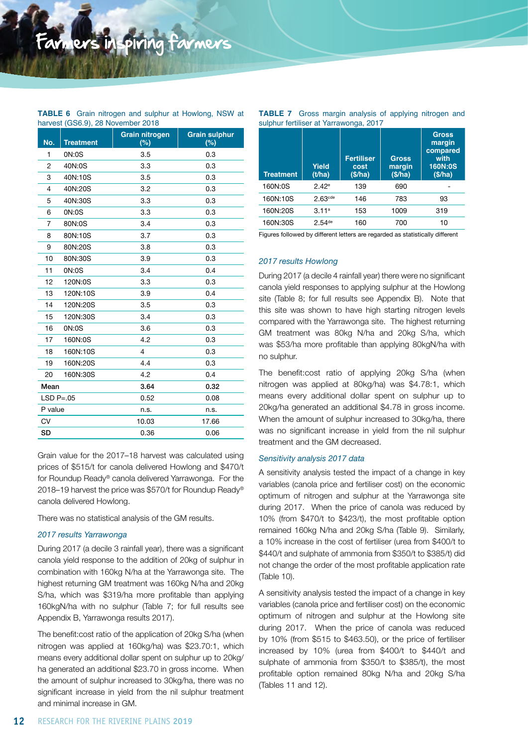#### **TABLE 6** Grain nitrogen and sulphur at Howlong, NSW at harvest (GS6.9), 28 November 2018

| No.        | <b>Treatment</b> | <b>Grain nitrogen</b><br>$(\%)$ | <b>Grain sulphur</b><br>(%) |
|------------|------------------|---------------------------------|-----------------------------|
| 1          | 0N:0S            | 3.5                             | 0.3                         |
| 2          | 40N:0S           | 3.3                             | 0.3                         |
| 3          | 40N:10S          | 3.5                             | 0.3                         |
| 4          | 40N:20S          | 3.2                             | 0.3                         |
| 5          | 40N:30S          | 3.3                             | 0.3                         |
| 6          | ON:OS            | 3.3                             | 0.3                         |
| 7          | 80N:0S           | 3.4                             | 0.3                         |
| 8          | 80N:10S          | 3.7                             | 0.3                         |
| 9          | 80N:20S          | 3.8                             | 0.3                         |
| 10         | 80N:30S          | 3.9                             | 0.3                         |
| 11         | 0N:0S            | 3.4                             | 0.4                         |
| 12         | 120N:0S          | 3.3                             | 0.3                         |
| 13         | 120N:10S         | 3.9                             | 0.4                         |
| 14         | 120N:20S         | 3.5                             | 0.3                         |
| 15         | 120N:30S         | 3.4                             | 0.3                         |
| 16         | 0N:0S            | 3.6                             | 0.3                         |
| 17         | 160N:0S          | 4.2                             | 0.3                         |
| 18         | 160N:10S         | 4                               | 0.3                         |
| 19         | 160N:20S         | 4.4                             | 0.3                         |
| 20         | 160N:30S         | 4.2                             | 0.4                         |
| Mean       |                  | 3.64                            | 0.32                        |
| $LSDP=.05$ |                  | 0.52                            | 0.08                        |
| P value    |                  | n.s.                            | n.s.                        |
| CV         |                  | 10.03                           | 17.66                       |
| <b>SD</b>  |                  | 0.36                            | 0.06                        |

Grain value for the 2017–18 harvest was calculated using prices of \$515/t for canola delivered Howlong and \$470/t for Roundup Ready® canola delivered Yarrawonga. For the 2018–19 harvest the price was \$570/t for Roundup Ready® canola delivered Howlong.

There was no statistical analysis of the GM results.

#### *2017 results Yarrawonga*

During 2017 (a decile 3 rainfall year), there was a significant canola yield response to the addition of 20kg of sulphur in combination with 160kg N/ha at the Yarrawonga site. The highest returning GM treatment was 160kg N/ha and 20kg S/ha, which was \$319/ha more profitable than applying 160kgN/ha with no sulphur (Table 7; for full results see Appendix B, Yarrawonga results 2017).

The benefit:cost ratio of the application of 20kg S/ha (when nitrogen was applied at 160kg/ha) was \$23.70:1, which means every additional dollar spent on sulphur up to 20kg/ ha generated an additional \$23.70 in gross income. When the amount of sulphur increased to 30kg/ha, there was no significant increase in yield from the nil sulphur treatment and minimal increase in GM.

| <b>TABLE 7</b> Gross margin analysis of applying nitrogen and |  |  |  |
|---------------------------------------------------------------|--|--|--|
| sulphur fertiliser at Yarrawonga, 2017                        |  |  |  |

| <b>Treatment</b> | Yield<br>(t/ha)      | <b>Fertiliser</b><br>cost<br>(S/ha) | <b>Gross</b><br>margin<br>(\$/ha) | <b>Gross</b><br>margin<br>compared<br>with<br>160N:0S<br>(\$/ha) |
|------------------|----------------------|-------------------------------------|-----------------------------------|------------------------------------------------------------------|
| 160N:0S          | $2.42^e$             | 139                                 | 690                               |                                                                  |
| 160N:10S         | 2.63 <sub>cde</sub>  | 146                                 | 783                               | 93                                                               |
| 160N:20S         | 3.11a                | 153                                 | 1009                              | 319                                                              |
| 160N:30S         | $2.54$ <sup>de</sup> | 160                                 | 700                               | 10                                                               |
|                  |                      |                                     |                                   |                                                                  |

Figures followed by different letters are regarded as statistically different

#### *2017 results Howlong*

During 2017 (a decile 4 rainfall year) there were no significant canola yield responses to applying sulphur at the Howlong site (Table 8; for full results see Appendix B). Note that this site was shown to have high starting nitrogen levels compared with the Yarrawonga site. The highest returning GM treatment was 80kg N/ha and 20kg S/ha, which was \$53/ha more profitable than applying 80kgN/ha with no sulphur.

The benefit:cost ratio of applying 20kg S/ha (when nitrogen was applied at 80kg/ha) was \$4.78:1, which means every additional dollar spent on sulphur up to 20kg/ha generated an additional \$4.78 in gross income. When the amount of sulphur increased to 30kg/ha, there was no significant increase in yield from the nil sulphur treatment and the GM decreased.

#### *Sensitivity analysis 2017 data*

A sensitivity analysis tested the impact of a change in key variables (canola price and fertiliser cost) on the economic optimum of nitrogen and sulphur at the Yarrawonga site during 2017. When the price of canola was reduced by 10% (from \$470/t to \$423/t), the most profitable option remained 160kg N/ha and 20kg S/ha (Table 9). Similarly, a 10% increase in the cost of fertiliser (urea from \$400/t to \$440/t and sulphate of ammonia from \$350/t to \$385/t) did not change the order of the most profitable application rate (Table 10).

A sensitivity analysis tested the impact of a change in key variables (canola price and fertiliser cost) on the economic optimum of nitrogen and sulphur at the Howlong site during 2017. When the price of canola was reduced by 10% (from \$515 to \$463.50), or the price of fertiliser increased by 10% (urea from \$400/t to \$440/t and sulphate of ammonia from \$350/t to \$385/t), the most profitable option remained 80kg N/ha and 20kg S/ha (Tables 11 and 12).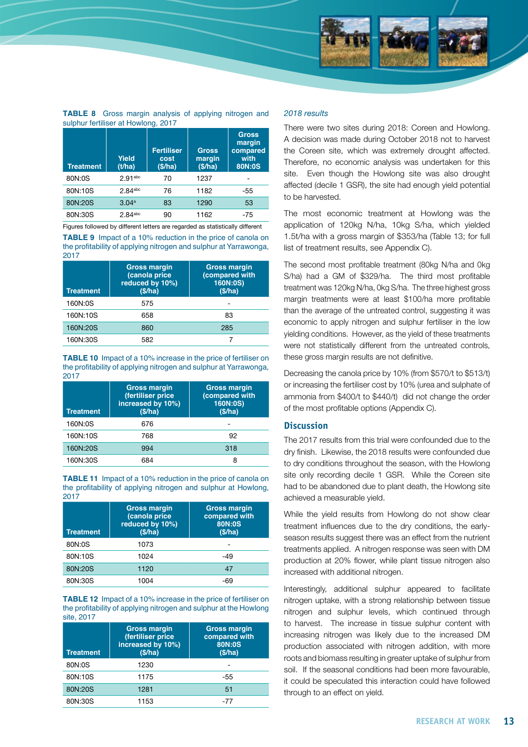

| <b>TABLE 8</b> Gross margin analysis of applying nitrogen and |  |  |  |  |
|---------------------------------------------------------------|--|--|--|--|
| sulphur fertiliser at Howlong, 2017                           |  |  |  |  |

| <b>Treatment</b> | Yield<br>(t/ha)       | <b>Fertiliser</b><br>cost<br>(\$/ha) | <b>Gross</b><br>margin<br>(\$/ha) | <b>Gross</b><br>margin<br>compared<br>with<br>80N:0S |
|------------------|-----------------------|--------------------------------------|-----------------------------------|------------------------------------------------------|
| 80N:0S           | $2.91$ <sup>abc</sup> | 70                                   | 1237                              |                                                      |
| 80N:10S          | $2.84$ <sup>abc</sup> | 76                                   | 1182                              | -55                                                  |
| 80N:20S          | 3.04a                 | 83                                   | 1290                              | 53                                                   |
| 80N:30S          | $2.84$ <sup>abc</sup> | 90                                   | 1162                              | -75                                                  |

Figures followed by different letters are regarded as statistically different

**TABLE 9** Impact of a 10% reduction in the price of canola on the profitability of applying nitrogen and sulphur at Yarrawonga, 2017

| <b>Treatment</b> | <b>Gross margin</b><br>(canola price<br>reduced by 10%)<br>(S/ha) | <b>Gross margin</b><br>(compared with<br>160N:0S)<br>(S/ha) |
|------------------|-------------------------------------------------------------------|-------------------------------------------------------------|
| 160N:0S          | 575                                                               |                                                             |
| 160N:10S         | 658                                                               | 83                                                          |
| 160N:20S         | 860                                                               | 285                                                         |
| 160N:30S         | 582                                                               |                                                             |

**TABLE 10** Impact of a 10% increase in the price of fertiliser on the profitability of applying nitrogen and sulphur at Yarrawonga, 2017

| <b>Treatment</b> | <b>Gross margin</b><br>(fertiliser price<br>increased by 10%)<br>(S/ha) | <b>Gross margin</b><br>(compared with<br>160N:0S)<br>(\$/ha) |
|------------------|-------------------------------------------------------------------------|--------------------------------------------------------------|
| 160N:0S          | 676                                                                     |                                                              |
| 160N:10S         | 768                                                                     | 92                                                           |
| 160N:20S         | 994                                                                     | 318                                                          |
| 160N:30S         | 684                                                                     | 8                                                            |

**TABLE 11** Impact of a 10% reduction in the price of canola on the profitability of applying nitrogen and sulphur at Howlong, 2017

| <b>Treatment</b> | <b>Gross margin</b><br>(canola price<br>reduced by 10%)<br>(S/ha) | <b>Gross margin</b><br>compared with<br>80N:0S<br>(\$/ha) |
|------------------|-------------------------------------------------------------------|-----------------------------------------------------------|
| 80N:0S           | 1073                                                              |                                                           |
| 80N:10S          | 1024                                                              | -49                                                       |
| 80N:20S          | 1120                                                              | 47                                                        |
| 80N:30S          | 1004                                                              | -69                                                       |

**TABLE 12** Impact of a 10% increase in the price of fertiliser on the profitability of applying nitrogen and sulphur at the Howlong site, 2017

| <b>Treatment</b> | <b>Gross margin</b><br>(fertiliser price<br>increased by 10%)<br>(S/ha) | <b>Gross margin</b><br>compared with<br>80N:0S<br>(\$/ha) |
|------------------|-------------------------------------------------------------------------|-----------------------------------------------------------|
| 80N:0S           | 1230                                                                    |                                                           |
| 80N:10S          | 1175                                                                    | -55                                                       |
| 80N:20S          | 1281                                                                    | 51                                                        |
| 80N:30S          | 1153                                                                    | -77                                                       |

#### *2018 results*

There were two sites during 2018: Coreen and Howlong. A decision was made during October 2018 not to harvest the Coreen site, which was extremely drought affected. Therefore, no economic analysis was undertaken for this site. Even though the Howlong site was also drought affected (decile 1 GSR), the site had enough yield potential to be harvested.

The most economic treatment at Howlong was the application of 120kg N/ha, 10kg S/ha, which yielded 1.5t/ha with a gross margin of \$353/ha (Table 13; for full list of treatment results, see Appendix C).

The second most profitable treatment (80kg N/ha and 0kg S/ha) had a GM of \$329/ha. The third most profitable treatment was 120kg N/ha, 0kg S/ha. The three highest gross margin treatments were at least \$100/ha more profitable than the average of the untreated control, suggesting it was economic to apply nitrogen and sulphur fertiliser in the low yielding conditions. However, as the yield of these treatments were not statistically different from the untreated controls, these gross margin results are not definitive.

Decreasing the canola price by 10% (from \$570/t to \$513/t) or increasing the fertiliser cost by 10% (urea and sulphate of ammonia from \$400/t to \$440/t) did not change the order of the most profitable options (Appendix C).

#### **Discussion**

The 2017 results from this trial were confounded due to the dry finish. Likewise, the 2018 results were confounded due to dry conditions throughout the season, with the Howlong site only recording decile 1 GSR. While the Coreen site had to be abandoned due to plant death, the Howlong site achieved a measurable yield.

While the yield results from Howlong do not show clear treatment influences due to the dry conditions, the earlyseason results suggest there was an effect from the nutrient treatments applied. A nitrogen response was seen with DM production at 20% flower, while plant tissue nitrogen also increased with additional nitrogen.

Interestingly, additional sulphur appeared to facilitate nitrogen uptake, with a strong relationship between tissue nitrogen and sulphur levels, which continued through to harvest. The increase in tissue sulphur content with increasing nitrogen was likely due to the increased DM production associated with nitrogen addition, with more roots and biomass resulting in greater uptake of sulphur from soil. If the seasonal conditions had been more favourable, it could be speculated this interaction could have followed through to an effect on yield.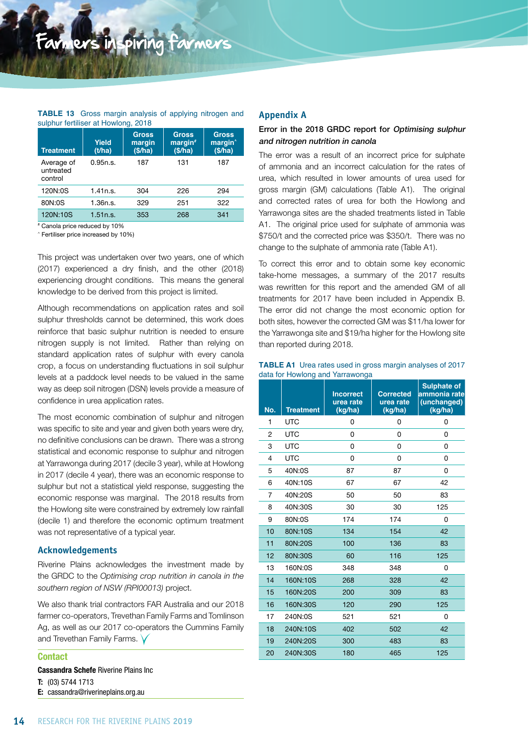#### **TABLE 13** Gross margin analysis of applying nitrogen and sulphur fertiliser at Howlong, 2018

| <b>Treatment</b>                   | Yield<br>(t/ha) | <b>Gross</b><br>margin<br>(\$/ha) | <b>Gross</b><br>margin<br>(\$/ha) | <b>Gross</b><br>margin <sup>^</sup><br>(\$/ha) |
|------------------------------------|-----------------|-----------------------------------|-----------------------------------|------------------------------------------------|
| Average of<br>untreated<br>control | 0.95n.s.        | 187                               | 131                               | 187                                            |
| 120N:0S                            | 1.41n.s.        | 304                               | 226                               | 294                                            |
| 80N:0S                             | 1.36n.s.        | 329                               | 251                               | 322                                            |
| 120N:10S                           | 1.51n.s.        | 353                               | 268                               | 341                                            |

# Canola price reduced by 10%

^ Fertiliser price increased by 10%)

This project was undertaken over two years, one of which (2017) experienced a dry finish, and the other (2018) experiencing drought conditions. This means the general knowledge to be derived from this project is limited.

Although recommendations on application rates and soil sulphur thresholds cannot be determined, this work does reinforce that basic sulphur nutrition is needed to ensure nitrogen supply is not limited. Rather than relying on standard application rates of sulphur with every canola crop, a focus on understanding fluctuations in soil sulphur levels at a paddock level needs to be valued in the same way as deep soil nitrogen (DSN) levels provide a measure of confidence in urea application rates.

The most economic combination of sulphur and nitrogen was specific to site and year and given both years were dry, no definitive conclusions can be drawn. There was a strong statistical and economic response to sulphur and nitrogen at Yarrawonga during 2017 (decile 3 year), while at Howlong in 2017 (decile 4 year), there was an economic response to sulphur but not a statistical yield response, suggesting the economic response was marginal. The 2018 results from the Howlong site were constrained by extremely low rainfall (decile 1) and therefore the economic optimum treatment was not representative of a typical year.

#### **Acknowledgements**

Riverine Plains acknowledges the investment made by the GRDC to the *Optimising crop nutrition in canola in the southern region of NSW (RPI00013)* project.

We also thank trial contractors FAR Australia and our 2018 farmer co-operators, Trevethan Family Farms and Tomlinson Ag, as well as our 2017 co-operators the Cummins Family and Trevethan Family Farms. V

### Contact Cassandra Schefe Riverine Plains Inc T: (03) 5744 1713

#### E: [cassandra@riverineplains.org.au](mailto:cassandra@riverineplains.org.au)

#### **Appendix A**

#### Error in the 2018 GRDC report for Optimising sulphur and nitrogen nutrition in canola

The error was a result of an incorrect price for sulphate of ammonia and an incorrect calculation for the rates of urea, which resulted in lower amounts of urea used for gross margin (GM) calculations (Table A1). The original and corrected rates of urea for both the Howlong and Yarrawonga sites are the shaded treatments listed in Table A1. The original price used for sulphate of ammonia was \$750/t and the corrected price was \$350/t. There was no change to the sulphate of ammonia rate (Table A1).

To correct this error and to obtain some key economic take-home messages, a summary of the 2017 results was rewritten for this report and the amended GM of all treatments for 2017 have been included in Appendix B. The error did not change the most economic option for both sites, however the corrected GM was \$11/ha lower for the Yarrawonga site and \$19/ha higher for the Howlong site than reported during 2018.

|                                 |  | <b>TABLE A1</b> Urea rates used in gross margin analyses of 2017 |  |
|---------------------------------|--|------------------------------------------------------------------|--|
| data for Howlong and Yarrawonga |  |                                                                  |  |

| No.            | <b>Treatment</b> | <b>Incorrect</b><br>urea rate<br>(kg/ha) | <b>Corrected</b><br>urea rate<br>(kg/ha) | <b>Sulphate of</b><br>ammonia rate<br>(unchanged)<br>(kg/ha) |
|----------------|------------------|------------------------------------------|------------------------------------------|--------------------------------------------------------------|
| 1              | <b>UTC</b>       | 0                                        | 0                                        | 0                                                            |
| $\overline{2}$ | <b>UTC</b>       | 0                                        | 0                                        | 0                                                            |
| 3              | <b>UTC</b>       | 0                                        | 0                                        | 0                                                            |
| 4              | <b>UTC</b>       | 0                                        | 0                                        | 0                                                            |
| 5              | 40N:0S           | 87                                       | 87                                       | 0                                                            |
| 6              | 40N:10S          | 67                                       | 67                                       | 42                                                           |
| 7              | 40N:20S          | 50                                       | 50                                       | 83                                                           |
| 8              | 40N:30S          | 30                                       | 30                                       | 125                                                          |
| 9              | 80N:0S           | 174                                      | 174                                      | 0                                                            |
| 10             | 80N:10S          | 134                                      | 154                                      | 42                                                           |
| 11             | 80N:20S          | 100                                      | 136                                      | 83                                                           |
| 12             | 80N:30S          | 60                                       | 116                                      | 125                                                          |
| 13             | 160N:0S          | 348                                      | 348                                      | 0                                                            |
| 14             | 160N:10S         | 268                                      | 328                                      | 42                                                           |
| 15             | 160N:20S         | 200                                      | 309                                      | 83                                                           |
| 16             | 160N:30S         | 120                                      | 290                                      | 125                                                          |
| 17             | 240N:0S          | 521                                      | 521                                      | 0                                                            |
| 18             | 240N:10S         | 402                                      | 502                                      | 42                                                           |
| 19             | 240N:20S         | 300                                      | 483                                      | 83                                                           |
| 20             | 240N:30S         | 180                                      | 465                                      | 125                                                          |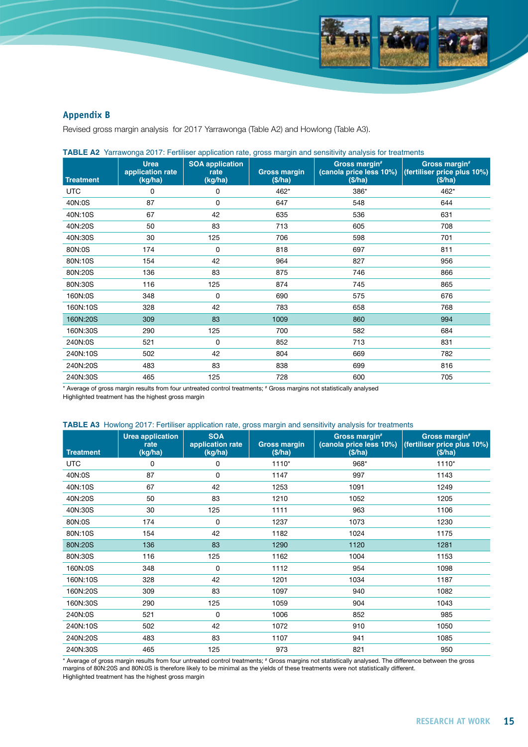

#### **Appendix B**

Revised gross margin analysis for 2017 Yarrawonga (Table A2) and Howlong (Table A3).

| <b>Treatment</b> | <b>Urea</b><br>application rate<br>(kg/ha) | <b>SOA application</b><br>rate<br>(kg/ha) | <b>Gross margin</b><br>(\$/ha) | Gross margin#<br>(\$/ha) | Gross margin#<br>(canola price less 10%) (fertiliser price plus 10%)<br>(\$/ha) |
|------------------|--------------------------------------------|-------------------------------------------|--------------------------------|--------------------------|---------------------------------------------------------------------------------|
| <b>UTC</b>       | 0                                          | 0                                         | 462*                           | 386*                     | 462*                                                                            |
| 40N:0S           | 87                                         | 0                                         | 647                            | 548                      | 644                                                                             |
| 40N:10S          | 67                                         | 42                                        | 635                            | 536                      | 631                                                                             |
| 40N:20S          | 50                                         | 83                                        | 713                            | 605                      | 708                                                                             |
| 40N:30S          | 30                                         | 125                                       | 706                            | 598                      | 701                                                                             |
| 80N:0S           | 174                                        | $\Omega$                                  | 818                            | 697                      | 811                                                                             |
| 80N:10S          | 154                                        | 42                                        | 964                            | 827                      | 956                                                                             |
| 80N:20S          | 136                                        | 83                                        | 875                            | 746                      | 866                                                                             |
| 80N:30S          | 116                                        | 125                                       | 874                            | 745                      | 865                                                                             |
| 160N:0S          | 348                                        | 0                                         | 690                            | 575                      | 676                                                                             |
| 160N:10S         | 328                                        | 42                                        | 783                            | 658                      | 768                                                                             |
| 160N:20S         | 309                                        | 83                                        | 1009                           | 860                      | 994                                                                             |
| 160N:30S         | 290                                        | 125                                       | 700                            | 582                      | 684                                                                             |
| 240N:0S          | 521                                        | 0                                         | 852                            | 713                      | 831                                                                             |
| 240N:10S         | 502                                        | 42                                        | 804                            | 669                      | 782                                                                             |
| 240N:20S         | 483                                        | 83                                        | 838                            | 699                      | 816                                                                             |
| 240N:30S         | 465                                        | 125                                       | 728                            | 600                      | 705                                                                             |

**TABLE A2** Yarrawonga 2017: Fertiliser application rate, gross margin and sensitivity analysis for treatments

\* Average of gross margin results from four untreated control treatments; # Gross margins not statistically analysed

Highlighted treatment has the highest gross margin

#### **TABLE A3** Howlong 2017: Fertiliser application rate, gross margin and sensitivity analysis for treatments

| <b>Treatment</b> | <b>Urea application</b><br>rate<br>(kg/ha) | <b>SOA</b><br>application rate<br>(kg/ha) | <b>Gross margin</b><br>(S/ha) | Gross margin#<br>(canola price less 10%)<br>(S/ha) | Gross margin#<br>(fertiliser price plus 10%)<br>(\$/ha) |
|------------------|--------------------------------------------|-------------------------------------------|-------------------------------|----------------------------------------------------|---------------------------------------------------------|
| <b>UTC</b>       | 0                                          | 0                                         | 1110*                         | 968*                                               | $1110*$                                                 |
| 40N:0S           | 87                                         | 0                                         | 1147                          | 997                                                | 1143                                                    |
| 40N:10S          | 67                                         | 42                                        | 1253                          | 1091                                               | 1249                                                    |
| 40N:20S          | 50                                         | 83                                        | 1210                          | 1052                                               | 1205                                                    |
| 40N:30S          | 30                                         | 125                                       | 1111                          | 963                                                | 1106                                                    |
| 80N:0S           | 174                                        | 0                                         | 1237                          | 1073                                               | 1230                                                    |
| 80N:10S          | 154                                        | 42                                        | 1182                          | 1024                                               | 1175                                                    |
| 80N:20S          | 136                                        | 83                                        | 1290                          | 1120                                               | 1281                                                    |
| 80N:30S          | 116                                        | 125                                       | 1162                          | 1004                                               | 1153                                                    |
| 160N:0S          | 348                                        | 0                                         | 1112                          | 954                                                | 1098                                                    |
| 160N:10S         | 328                                        | 42                                        | 1201                          | 1034                                               | 1187                                                    |
| 160N:20S         | 309                                        | 83                                        | 1097                          | 940                                                | 1082                                                    |
| 160N:30S         | 290                                        | 125                                       | 1059                          | 904                                                | 1043                                                    |
| 240N:0S          | 521                                        | 0                                         | 1006                          | 852                                                | 985                                                     |
| 240N:10S         | 502                                        | 42                                        | 1072                          | 910                                                | 1050                                                    |
| 240N:20S         | 483                                        | 83                                        | 1107                          | 941                                                | 1085                                                    |
| 240N:30S         | 465                                        | 125                                       | 973                           | 821                                                | 950                                                     |

\* Average of gross margin results from four untreated control treatments; # Gross margins not statistically analysed. The difference between the gross margins of 80N:20S and 80N:0S is therefore likely to be minimal as the yields of these treatments were not statistically different. Highlighted treatment has the highest gross margin